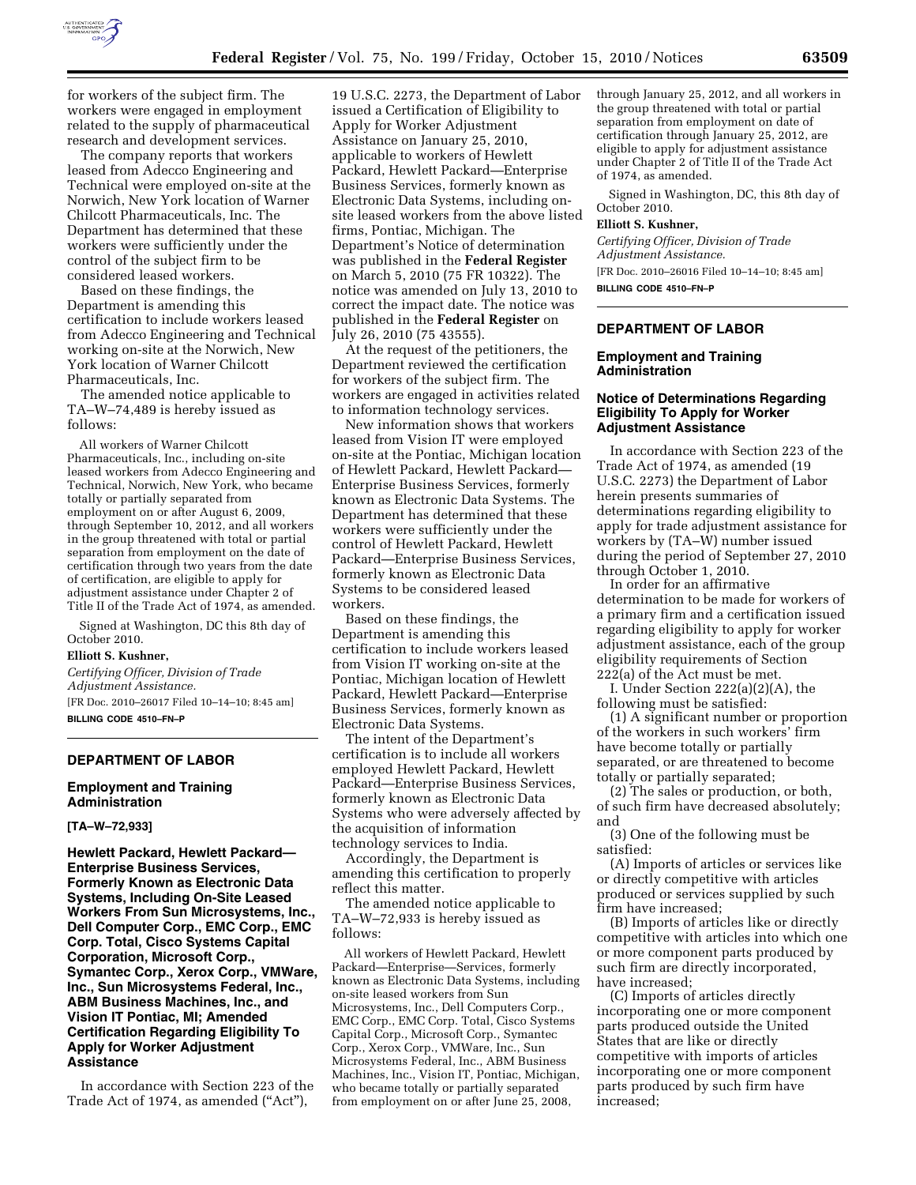

for workers of the subject firm. The workers were engaged in employment related to the supply of pharmaceutical research and development services.

The company reports that workers leased from Adecco Engineering and Technical were employed on-site at the Norwich, New York location of Warner Chilcott Pharmaceuticals, Inc. The Department has determined that these workers were sufficiently under the control of the subject firm to be considered leased workers.

Based on these findings, the Department is amending this certification to include workers leased from Adecco Engineering and Technical working on-site at the Norwich, New York location of Warner Chilcott Pharmaceuticals, Inc.

The amended notice applicable to TA–W–74,489 is hereby issued as follows:

All workers of Warner Chilcott Pharmaceuticals, Inc., including on-site leased workers from Adecco Engineering and Technical, Norwich, New York, who became totally or partially separated from employment on or after August 6, 2009, through September 10, 2012, and all workers in the group threatened with total or partial separation from employment on the date of certification through two years from the date of certification, are eligible to apply for adjustment assistance under Chapter 2 of Title II of the Trade Act of 1974, as amended.

Signed at Washington, DC this 8th day of October 2010.

#### **Elliott S. Kushner,**

*Certifying Officer, Division of Trade Adjustment Assistance.*  [FR Doc. 2010–26017 Filed 10–14–10; 8:45 am] **BILLING CODE 4510–FN–P** 

#### **DEPARTMENT OF LABOR**

**Employment and Training Administration** 

**[TA–W–72,933]** 

**Hewlett Packard, Hewlett Packard— Enterprise Business Services, Formerly Known as Electronic Data Systems, Including On-Site Leased Workers From Sun Microsystems, Inc., Dell Computer Corp., EMC Corp., EMC Corp. Total, Cisco Systems Capital Corporation, Microsoft Corp., Symantec Corp., Xerox Corp., VMWare, Inc., Sun Microsystems Federal, Inc., ABM Business Machines, Inc., and Vision IT Pontiac, MI; Amended Certification Regarding Eligibility To Apply for Worker Adjustment Assistance** 

In accordance with Section 223 of the Trade Act of 1974, as amended ("Act"),

19 U.S.C. 2273, the Department of Labor issued a Certification of Eligibility to Apply for Worker Adjustment Assistance on January 25, 2010, applicable to workers of Hewlett Packard, Hewlett Packard—Enterprise Business Services, formerly known as Electronic Data Systems, including onsite leased workers from the above listed firms, Pontiac, Michigan. The Department's Notice of determination was published in the **Federal Register**  on March 5, 2010 (75 FR 10322). The notice was amended on July 13, 2010 to correct the impact date. The notice was published in the **Federal Register** on July 26, 2010 (75 43555).

At the request of the petitioners, the Department reviewed the certification for workers of the subject firm. The workers are engaged in activities related to information technology services.

New information shows that workers leased from Vision IT were employed on-site at the Pontiac, Michigan location of Hewlett Packard, Hewlett Packard— Enterprise Business Services, formerly known as Electronic Data Systems. The Department has determined that these workers were sufficiently under the control of Hewlett Packard, Hewlett Packard—Enterprise Business Services, formerly known as Electronic Data Systems to be considered leased workers.

Based on these findings, the Department is amending this certification to include workers leased from Vision IT working on-site at the Pontiac, Michigan location of Hewlett Packard, Hewlett Packard—Enterprise Business Services, formerly known as Electronic Data Systems.

The intent of the Department's certification is to include all workers employed Hewlett Packard, Hewlett Packard—Enterprise Business Services, formerly known as Electronic Data Systems who were adversely affected by the acquisition of information technology services to India.

Accordingly, the Department is amending this certification to properly reflect this matter.

The amended notice applicable to TA–W–72,933 is hereby issued as follows:

All workers of Hewlett Packard, Hewlett Packard—Enterprise—Services, formerly known as Electronic Data Systems, including on-site leased workers from Sun Microsystems, Inc., Dell Computers Corp., EMC Corp., EMC Corp. Total, Cisco Systems Capital Corp., Microsoft Corp., Symantec Corp., Xerox Corp., VMWare, Inc., Sun Microsystems Federal, Inc., ABM Business Machines, Inc., Vision IT, Pontiac, Michigan, who became totally or partially separated from employment on or after June 25, 2008,

through January 25, 2012, and all workers in the group threatened with total or partial separation from employment on date of certification through January 25, 2012, are eligible to apply for adjustment assistance under Chapter 2 of Title II of the Trade Act of 1974, as amended.

Signed in Washington, DC, this 8th day of October 2010.

### **Elliott S. Kushner,**

*Certifying Officer, Division of Trade Adjustment Assistance.*  [FR Doc. 2010–26016 Filed 10–14–10; 8:45 am]

**BILLING CODE 4510–FN–P** 

# **DEPARTMENT OF LABOR**

### **Employment and Training Administration**

### **Notice of Determinations Regarding Eligibility To Apply for Worker Adjustment Assistance**

In accordance with Section 223 of the Trade Act of 1974, as amended (19 U.S.C. 2273) the Department of Labor herein presents summaries of determinations regarding eligibility to apply for trade adjustment assistance for workers by (TA–W) number issued during the period of September 27, 2010 through October 1, 2010.

In order for an affirmative determination to be made for workers of a primary firm and a certification issued regarding eligibility to apply for worker adjustment assistance, each of the group eligibility requirements of Section 222(a) of the Act must be met.

I. Under Section 222(a)(2)(A), the following must be satisfied:

(1) A significant number or proportion of the workers in such workers' firm have become totally or partially separated, or are threatened to become totally or partially separated;

(2) The sales or production, or both, of such firm have decreased absolutely; and

(3) One of the following must be satisfied:

(A) Imports of articles or services like or directly competitive with articles produced or services supplied by such firm have increased;

(B) Imports of articles like or directly competitive with articles into which one or more component parts produced by such firm are directly incorporated, have increased;

(C) Imports of articles directly incorporating one or more component parts produced outside the United States that are like or directly competitive with imports of articles incorporating one or more component parts produced by such firm have increased;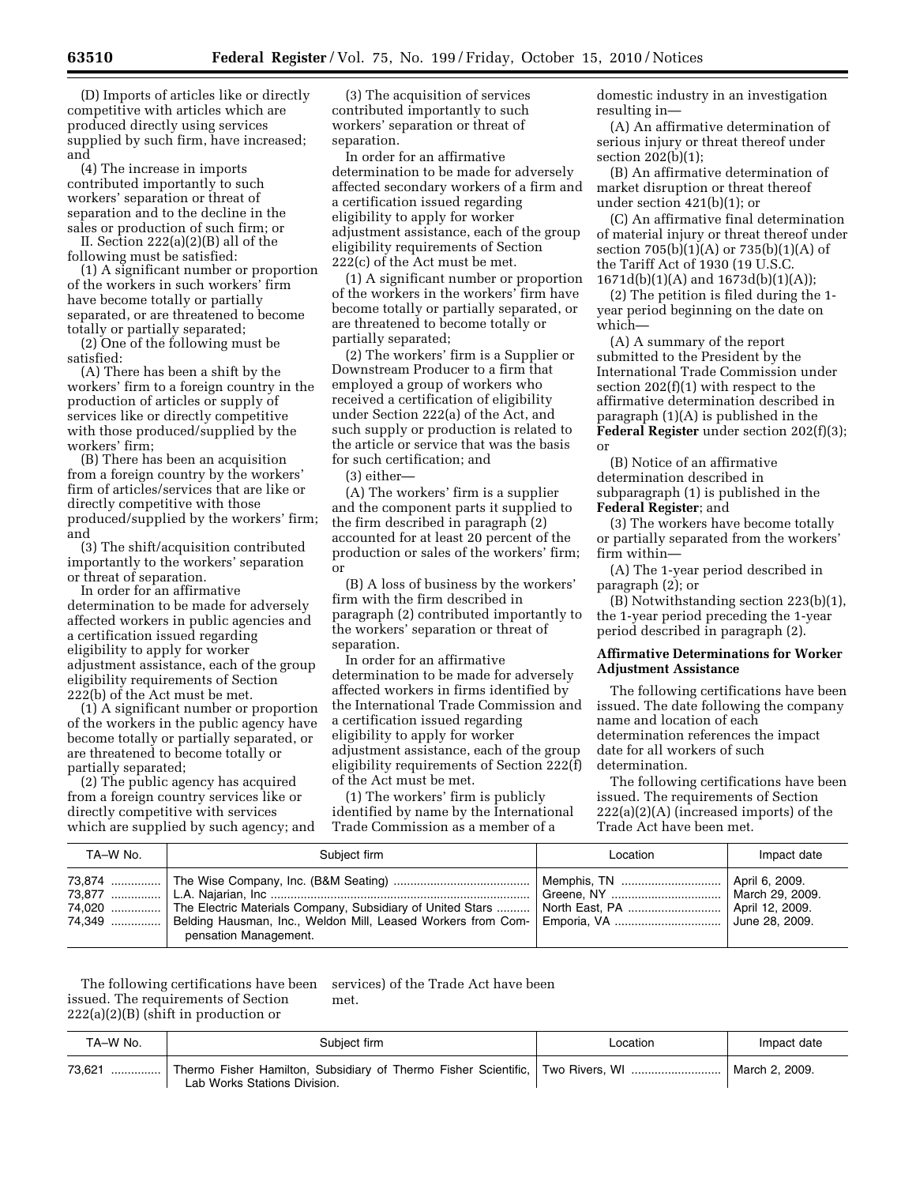(D) Imports of articles like or directly competitive with articles which are produced directly using services supplied by such firm, have increased; and

(4) The increase in imports contributed importantly to such workers' separation or threat of separation and to the decline in the sales or production of such firm; or

II. Section 222(a)(2)(B) all of the following must be satisfied:

(1) A significant number or proportion of the workers in such workers' firm have become totally or partially separated, or are threatened to become totally or partially separated;

(2) One of the following must be satisfied:

(A) There has been a shift by the workers' firm to a foreign country in the production of articles or supply of services like or directly competitive with those produced/supplied by the workers' firm;

(B) There has been an acquisition from a foreign country by the workers' firm of articles/services that are like or directly competitive with those produced/supplied by the workers' firm; and

(3) The shift/acquisition contributed importantly to the workers' separation or threat of separation.

In order for an affirmative determination to be made for adversely affected workers in public agencies and a certification issued regarding eligibility to apply for worker adjustment assistance, each of the group eligibility requirements of Section 222(b) of the Act must be met.

(1) A significant number or proportion of the workers in the public agency have become totally or partially separated, or are threatened to become totally or partially separated;

(2) The public agency has acquired from a foreign country services like or directly competitive with services which are supplied by such agency; and

(3) The acquisition of services contributed importantly to such workers' separation or threat of separation.

In order for an affirmative determination to be made for adversely affected secondary workers of a firm and a certification issued regarding eligibility to apply for worker adjustment assistance, each of the group eligibility requirements of Section 222(c) of the Act must be met.

(1) A significant number or proportion of the workers in the workers' firm have become totally or partially separated, or are threatened to become totally or partially separated;

(2) The workers' firm is a Supplier or Downstream Producer to a firm that employed a group of workers who received a certification of eligibility under Section 222(a) of the Act, and such supply or production is related to the article or service that was the basis for such certification; and

(3) either—

(A) The workers' firm is a supplier and the component parts it supplied to the firm described in paragraph (2) accounted for at least 20 percent of the production or sales of the workers' firm; or

(B) A loss of business by the workers' firm with the firm described in paragraph (2) contributed importantly to the workers' separation or threat of separation.

In order for an affirmative determination to be made for adversely affected workers in firms identified by the International Trade Commission and a certification issued regarding eligibility to apply for worker adjustment assistance, each of the group eligibility requirements of Section 222(f) of the Act must be met.

(1) The workers' firm is publicly identified by name by the International Trade Commission as a member of a

domestic industry in an investigation resulting in—

(A) An affirmative determination of serious injury or threat thereof under section 202(b)(1);

(B) An affirmative determination of market disruption or threat thereof under section 421(b)(1); or

(C) An affirmative final determination of material injury or threat thereof under section 705(b)(1)(A) or 735(b)(1)(A) of the Tariff Act of 1930 (19 U.S.C. 1671d(b)(1)(A) and 1673d(b)(1)(A));

(2) The petition is filed during the 1 year period beginning on the date on which—

(A) A summary of the report submitted to the President by the International Trade Commission under section 202(f)(1) with respect to the affirmative determination described in paragraph (1)(A) is published in the **Federal Register** under section 202(f)(3); or

(B) Notice of an affirmative determination described in subparagraph (1) is published in the **Federal Register**; and

(3) The workers have become totally or partially separated from the workers' firm within—

(A) The 1-year period described in paragraph (2); or

(B) Notwithstanding section 223(b)(1), the 1-year period preceding the 1-year period described in paragraph (2).

### **Affirmative Determinations for Worker Adjustment Assistance**

The following certifications have been issued. The date following the company name and location of each determination references the impact date for all workers of such determination.

The following certifications have been issued. The requirements of Section 222(a)(2)(A) (increased imports) of the Trade Act have been met.

| TA-W No. | Subject firm          | Location                      | Impact date |
|----------|-----------------------|-------------------------------|-------------|
|          | pensation Management. | Greene, NY    March 29, 2009. |             |

The following certifications have been issued. The requirements of Section  $222(a)(2)(B)$  (shift in production or services) of the Trade Act have been met.

| TA–W No. | Subject firm                                                                                                   | ∟ocation | Impact date    |
|----------|----------------------------------------------------------------------------------------------------------------|----------|----------------|
| 73.621   | Thermo Fisher Hamilton, Subsidiary of Thermo Fisher Scientific, Two Rivers, WI<br>Lab Works Stations Division. |          | March 2, 2009. |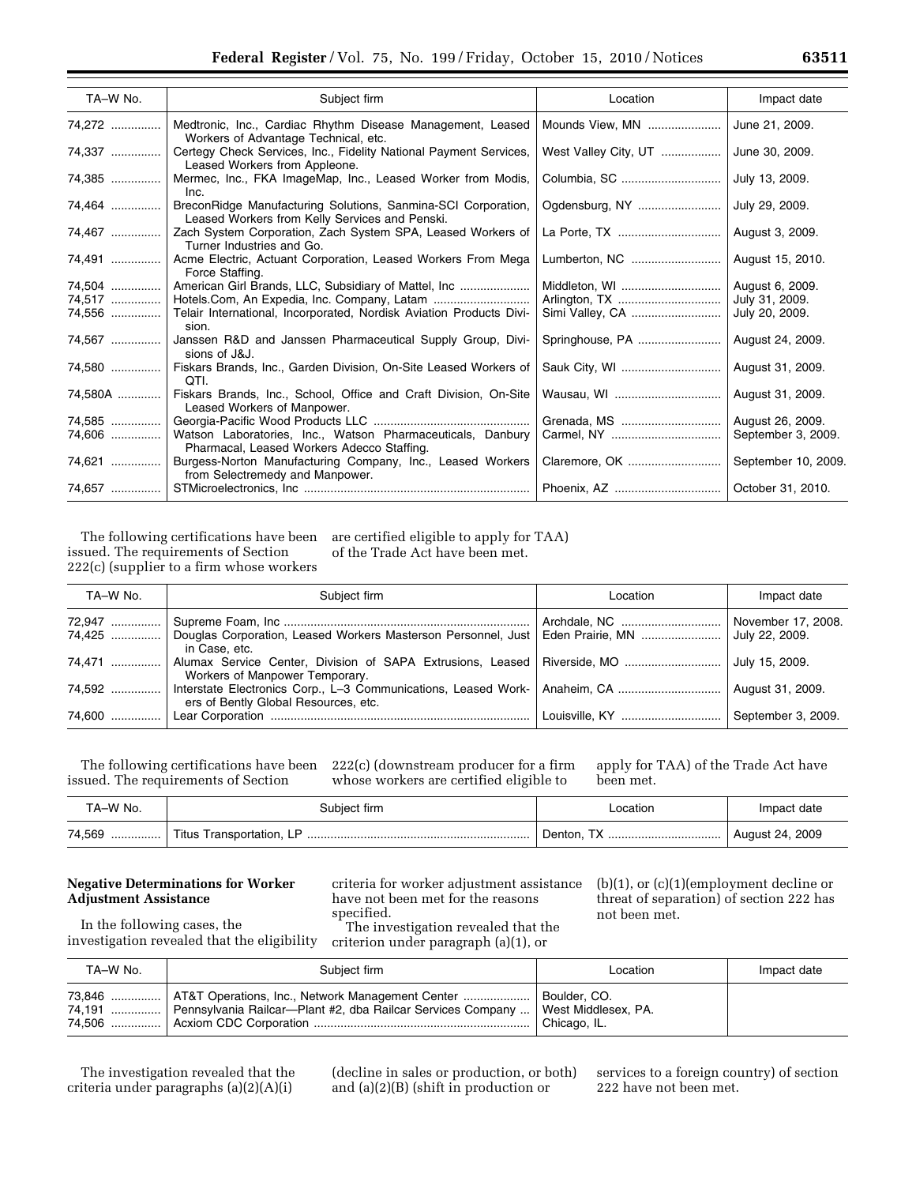| TA-W No. | Subject firm                                                                                                    | Location             | Impact date         |
|----------|-----------------------------------------------------------------------------------------------------------------|----------------------|---------------------|
| 74,272   | Medtronic, Inc., Cardiac Rhythm Disease Management, Leased<br>Workers of Advantage Technical, etc.              | Mounds View, MN      | June 21, 2009.      |
| 74,337   | Certegy Check Services, Inc., Fidelity National Payment Services,<br>Leased Workers from Appleone.              | West Valley City, UT | June 30, 2009.      |
| 74,385   | Mermec, Inc., FKA ImageMap, Inc., Leased Worker from Modis,<br>Inc.                                             |                      | July 13, 2009.      |
| 74,464   | BreconRidge Manufacturing Solutions, Sanmina-SCI Corporation,<br>Leased Workers from Kelly Services and Penski. |                      | July 29, 2009.      |
| 74,467   | Zach System Corporation, Zach System SPA, Leased Workers of<br>Turner Industries and Go.                        |                      | August 3, 2009.     |
| 74,491   | Acme Electric, Actuant Corporation, Leased Workers From Mega<br>Force Staffing.                                 | Lumberton, NC        | August 15, 2010.    |
| 74.504   | American Girl Brands, LLC, Subsidiary of Mattel, Inc                                                            | Middleton, WI        | August 6, 2009.     |
| 74,517   |                                                                                                                 |                      | July 31, 2009.      |
| 74,556   | Telair International, Incorporated, Nordisk Aviation Products Divi-<br>sion.                                    |                      | July 20, 2009.      |
| 74,567   | Janssen R&D and Janssen Pharmaceutical Supply Group, Divi-<br>sions of J&J.                                     | Springhouse, PA      | August 24, 2009.    |
| 74,580   | Fiskars Brands, Inc., Garden Division, On-Site Leased Workers of<br>QTI.                                        |                      | August 31, 2009.    |
| 74,580A  | Fiskars Brands, Inc., School, Office and Craft Division, On-Site<br>Leased Workers of Manpower.                 |                      | August 31, 2009.    |
| 74,585   |                                                                                                                 | Grenada, MS          | August 26, 2009.    |
| 74,606   | Watson Laboratories, Inc., Watson Pharmaceuticals, Danbury<br>Pharmacal, Leased Workers Adecco Staffing.        |                      | September 3, 2009.  |
| 74,621   | Burgess-Norton Manufacturing Company, Inc., Leased Workers<br>from Selectremedy and Manpower.                   | Claremore, OK        | September 10, 2009. |
|          |                                                                                                                 |                      | October 31, 2010.   |

The following certifications have been issued. The requirements of Section 222(c) (supplier to a firm whose workers are certified eligible to apply for TAA) of the Trade Act have been met.

| TA-W No. | Subiect firm                                                                                                                  | Location | Impact date        |
|----------|-------------------------------------------------------------------------------------------------------------------------------|----------|--------------------|
| 72,947   |                                                                                                                               |          | November 17, 2008. |
|          | 74,425    Douglas Corporation, Leased Workers Masterson Personnel, Just   Eden Prairie, MN    July 22, 2009.<br>in Case, etc. |          |                    |
| 74.471   | Alumax Service Center, Division of SAPA Extrusions, Leased   Riverside, MO<br>Workers of Manpower Temporary.                  |          | July 15, 2009.     |
| 74.592   | Interstate Electronics Corp., L-3 Communications, Leased Work-   Anaheim, CA<br>ers of Bently Global Resources, etc.          |          | August 31, 2009.   |
| 74,600   |                                                                                                                               |          |                    |

The following certifications have been issued. The requirements of Section

222(c) (downstream producer for a firm whose workers are certified eligible to

apply for TAA) of the Trade Act have been met.

| TA–W No.      | Subject firm             | _ocation | Impact date     |
|---------------|--------------------------|----------|-----------------|
| 74,569<br>. 1 | Titus Transportation, LP |          | August 24, 2009 |

# **Negative Determinations for Worker Adjustment Assistance**

In the following cases, the investigation revealed that the eligibility

criteria for worker adjustment assistance have not been met for the reasons specified.

The investigation revealed that the criterion under paragraph (a)(1), or

(b)(1), or (c)(1)(employment decline or threat of separation) of section 222 has

not been met.

| TA-W No. | Subiect firm                                                                                                                                             | Location                       | Impact date |
|----------|----------------------------------------------------------------------------------------------------------------------------------------------------------|--------------------------------|-------------|
|          | 73,846    AT&T Operations, Inc., Network Management Center<br>74,191  Pennsylvania Railcar—Plant #2, dba Railcar Services Company    West Middlesex, PA. | Boulder, CO.<br>  Chicago, IL. |             |

The investigation revealed that the criteria under paragraphs (a)(2)(A)(i)

(decline in sales or production, or both) and (a)(2)(B) (shift in production or

services to a foreign country) of section 222 have not been met.